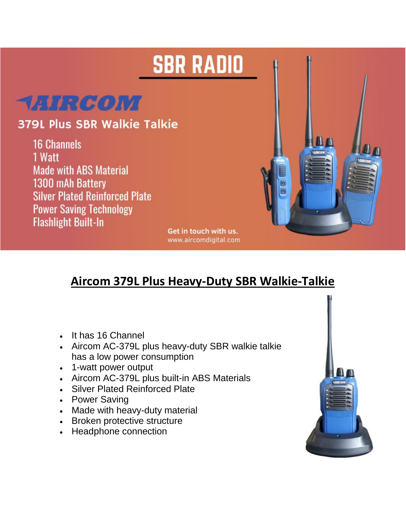## **SBR RADIO**



## **379L Plus SBR Walkie Talkie**

**16 Channels** 1 Watt **Made with ABS Material** 1300 mAh Battery **Silver Plated Reinforced Plate Power Saving Technology Flashlight Built-In** 



Get in touch with us. www.aircomdigital.com

## **Aircom 379L Plus Heavy-Duty SBR Walkie-Talkie**

- It has 16 Channel
- Aircom AC-379L plus heavy-duty SBR walkie talkie has a low power consumption
- 1-watt power output
- Aircom AC-379L plus built-in ABS Materials
- Silver Plated Reinforced Plate
- Power Saving
- Made with heavy-duty material
- Broken protective structure
- Headphone connection

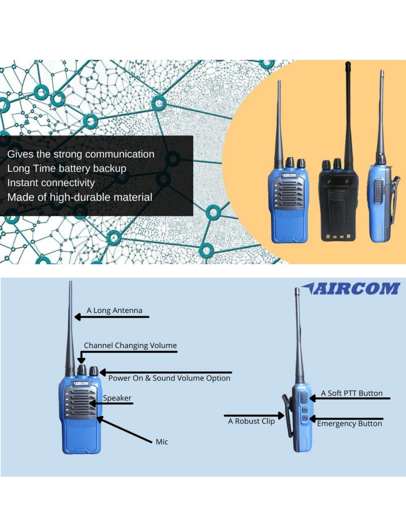

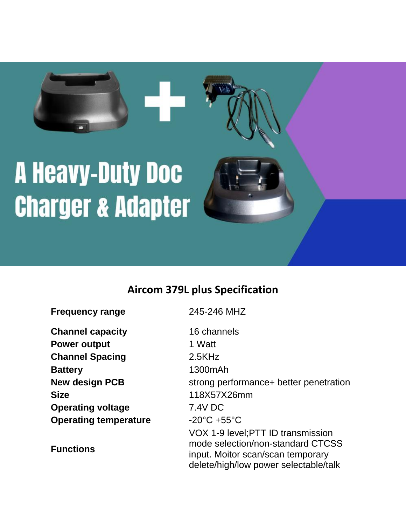# **A Heavy-Duty Doc Charger & Adapter**

### **Aircom 379L plus Specification**

| <b>Frequency range</b>       | 245-246 MHZ                                                                                                                                           |
|------------------------------|-------------------------------------------------------------------------------------------------------------------------------------------------------|
| <b>Channel capacity</b>      | 16 channels                                                                                                                                           |
| <b>Power output</b>          | 1 Watt                                                                                                                                                |
| <b>Channel Spacing</b>       | 2.5KHz                                                                                                                                                |
| <b>Battery</b>               | 1300mAh                                                                                                                                               |
| <b>New design PCB</b>        | strong performance+ better penetration                                                                                                                |
| <b>Size</b>                  | 118X57X26mm                                                                                                                                           |
| <b>Operating voltage</b>     | 7.4V DC                                                                                                                                               |
| <b>Operating temperature</b> | $-20^{\circ}$ C +55 $^{\circ}$ C                                                                                                                      |
| <b>Functions</b>             | VOX 1-9 level; PTT ID transmission<br>mode selection/non-standard CTCSS<br>input. Moitor scan/scan temporary<br>delete/high/low power selectable/talk |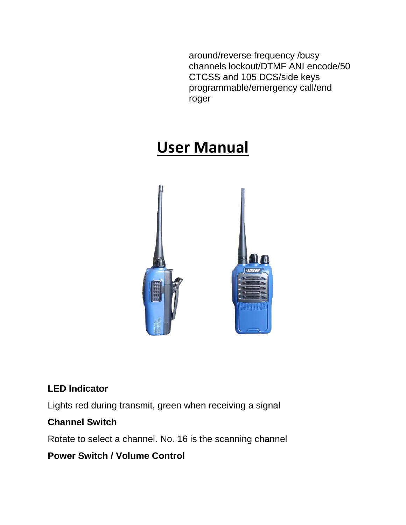around/reverse frequency /busy channels lockout/DTMF ANI encode/50 CTCSS and 105 DCS/side keys programmable/emergency call/end roger

## **User Manual**



#### **LED Indicator**

Lights red during transmit, green when receiving a signal

#### **Channel Switch**

Rotate to select a channel. No. 16 is the scanning channel

#### **Power Switch / Volume Control**